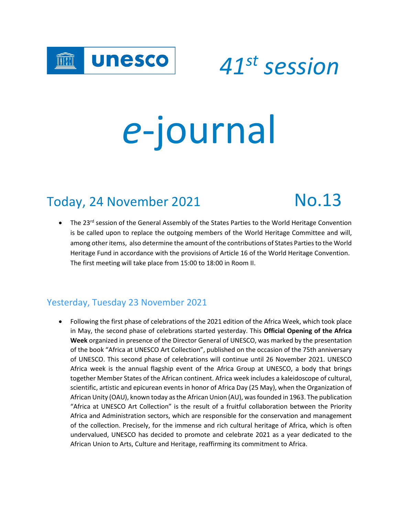

 *<sup>41</sup>st session*

# *e*-journal

# Today, 24 November 2021 No.13

• The 23<sup>rd</sup> session of the General Assembly of the States Parties to the World Heritage Convention is be called upon to replace the outgoing members of the World Heritage Committee and will, among other items, also determine the amount of the contributions of States Parties to the World Heritage Fund in accordance with the provisions of Article 16 of the World Heritage Convention. The first meeting will take place from 15:00 to 18:00 in Room II.

#### Yesterday, Tuesday 23 November 2021

 Following the first phase of celebrations of the 2021 edition of the Africa Week, which took place in May, the second phase of celebrations started yesterday. This **Official Opening of the Africa Week** organized in presence of the Director General of UNESCO, was marked by the presentation of the book "Africa at UNESCO Art Collection", published on the occasion of the 75th anniversary of UNESCO. This second phase of celebrations will continue until 26 November 2021. UNESCO Africa week is the annual flagship event of the Africa Group at UNESCO, a body that brings together Member States of the African continent. Africa week includes a kaleidoscope of cultural, scientific, artistic and epicurean events in honor of Africa Day (25 May), when the Organization of African Unity (OAU), known today as the African Union (AU), was founded in 1963. The publication "Africa at UNESCO Art Collection" is the result of a fruitful collaboration between the Priority Africa and Administration sectors, which are responsible for the conservation and management of the collection. Precisely, for the immense and rich cultural heritage of Africa, which is often undervalued, UNESCO has decided to promote and celebrate 2021 as a year dedicated to the African Union to Arts, Culture and Heritage, reaffirming its commitment to Africa.